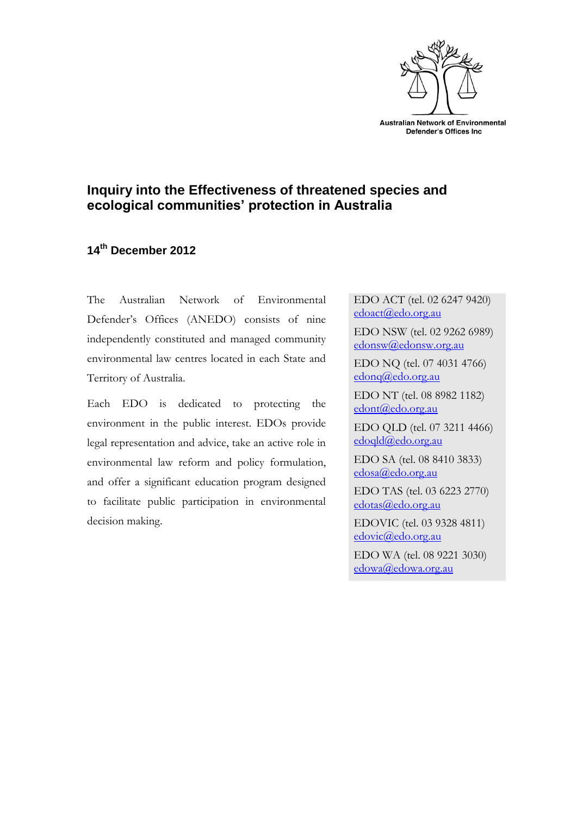

# **Inquiry into the Effectiveness of threatened species and ecological communities' protection in Australia**

## **14th December 2012**

The Australian Network of Environmental Defender's Offices (ANEDO) consists of nine independently constituted and managed community environmental law centres located in each State and Territory of Australia.

Each EDO is dedicated to protecting the environment in the public interest. EDOs provide legal representation and advice, take an active role in environmental law reform and policy formulation, and offer a significant education program designed to facilitate public participation in environmental decision making.

EDO ACT (tel. 02 6247 9420) [edoact@edo.org.au](mailto:edo@nsw.edo.org.au)

EDO NSW (tel. 02 9262 6989) [edonsw@edonsw.org.au](mailto:edonsw@edonsw.org.au)

EDO NQ (tel. 07 4031 4766) [edonq@edo.org.au](mailto:edo@nsw.edo.org.au)

EDO NT (tel. 08 8982 1182) [edont@edo.org.au](mailto:edo@nsw.edo.org.au)

EDO QLD (tel. 07 3211 4466) [edoqld@edo.org.au](mailto:edo@nsw.edo.org.au)

EDO SA (tel. 08 8410 3833) [edosa@edo.org.au](mailto:edo@nsw.edo.org.au)

EDO TAS (tel. 03 6223 2770) [edotas@edo.org.au](mailto:edotas@edo.org.au)

EDOVIC (tel. 03 9328 4811) [edovic@edo.org.au](mailto:edovic@edo.org.au)

EDO WA (tel. 08 9221 3030) [edowa@edowa.org.au](mailto:edowa@edowa.org.au)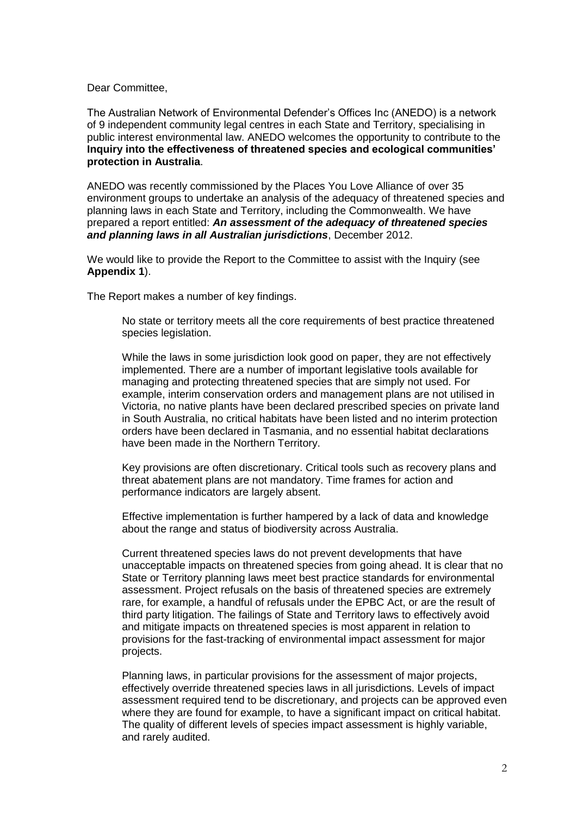Dear Committee,

The Australian Network of Environmental Defender's Offices Inc (ANEDO) is a network of 9 independent community legal centres in each State and Territory, specialising in public interest environmental law. ANEDO welcomes the opportunity to contribute to the **Inquiry into the effectiveness of threatened species and ecological communities' protection in Australia**.

ANEDO was recently commissioned by the Places You Love Alliance of over 35 environment groups to undertake an analysis of the adequacy of threatened species and planning laws in each State and Territory, including the Commonwealth. We have prepared a report entitled: *An assessment of the adequacy of threatened species and planning laws in all Australian jurisdictions*, December 2012.

We would like to provide the Report to the Committee to assist with the Inquiry (see **Appendix 1**).

The Report makes a number of key findings.

No state or territory meets all the core requirements of best practice threatened species legislation.

While the laws in some jurisdiction look good on paper, they are not effectively implemented. There are a number of important legislative tools available for managing and protecting threatened species that are simply not used. For example, interim conservation orders and management plans are not utilised in Victoria, no native plants have been declared prescribed species on private land in South Australia, no critical habitats have been listed and no interim protection orders have been declared in Tasmania, and no essential habitat declarations have been made in the Northern Territory.

Key provisions are often discretionary. Critical tools such as recovery plans and threat abatement plans are not mandatory. Time frames for action and performance indicators are largely absent.

Effective implementation is further hampered by a lack of data and knowledge about the range and status of biodiversity across Australia.

Current threatened species laws do not prevent developments that have unacceptable impacts on threatened species from going ahead. It is clear that no State or Territory planning laws meet best practice standards for environmental assessment. Project refusals on the basis of threatened species are extremely rare, for example, a handful of refusals under the EPBC Act, or are the result of third party litigation. The failings of State and Territory laws to effectively avoid and mitigate impacts on threatened species is most apparent in relation to provisions for the fast-tracking of environmental impact assessment for major projects.

Planning laws, in particular provisions for the assessment of major projects, effectively override threatened species laws in all jurisdictions. Levels of impact assessment required tend to be discretionary, and projects can be approved even where they are found for example, to have a significant impact on critical habitat. The quality of different levels of species impact assessment is highly variable, and rarely audited.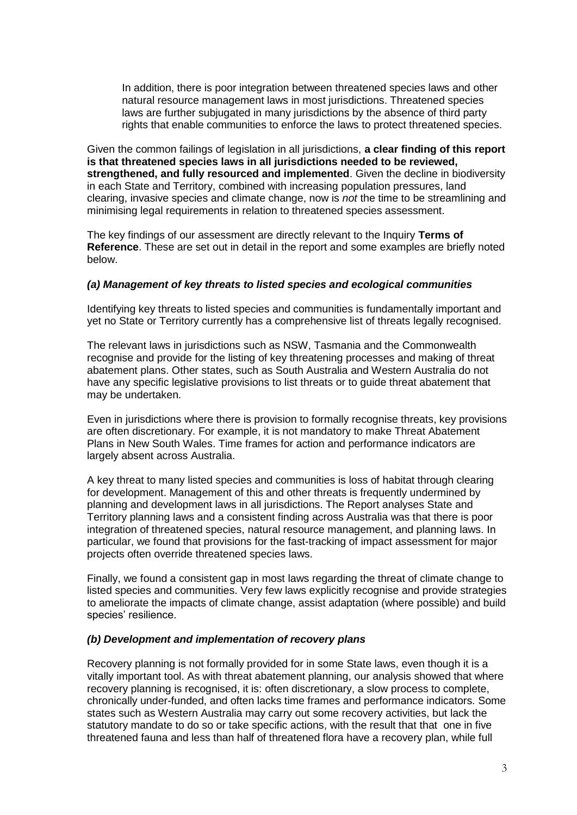In addition, there is poor integration between threatened species laws and other natural resource management laws in most jurisdictions. Threatened species laws are further subjugated in many jurisdictions by the absence of third party rights that enable communities to enforce the laws to protect threatened species.

Given the common failings of legislation in all jurisdictions, **a clear finding of this report is that threatened species laws in all jurisdictions needed to be reviewed, strengthened, and fully resourced and implemented**. Given the decline in biodiversity in each State and Territory, combined with increasing population pressures, land clearing, invasive species and climate change, now is *not* the time to be streamlining and minimising legal requirements in relation to threatened species assessment.

The key findings of our assessment are directly relevant to the Inquiry **Terms of Reference**. These are set out in detail in the report and some examples are briefly noted below.

### *(a) Management of key threats to listed species and ecological communities*

Identifying key threats to listed species and communities is fundamentally important and yet no State or Territory currently has a comprehensive list of threats legally recognised.

The relevant laws in jurisdictions such as NSW, Tasmania and the Commonwealth recognise and provide for the listing of key threatening processes and making of threat abatement plans. Other states, such as South Australia and Western Australia do not have any specific legislative provisions to list threats or to guide threat abatement that may be undertaken.

Even in jurisdictions where there is provision to formally recognise threats, key provisions are often discretionary. For example, it is not mandatory to make Threat Abatement Plans in New South Wales. Time frames for action and performance indicators are largely absent across Australia.

A key threat to many listed species and communities is loss of habitat through clearing for development. Management of this and other threats is frequently undermined by planning and development laws in all jurisdictions. The Report analyses State and Territory planning laws and a consistent finding across Australia was that there is poor integration of threatened species, natural resource management, and planning laws. In particular, we found that provisions for the fast-tracking of impact assessment for major projects often override threatened species laws.

Finally, we found a consistent gap in most laws regarding the threat of climate change to listed species and communities. Very few laws explicitly recognise and provide strategies to ameliorate the impacts of climate change, assist adaptation (where possible) and build species' resilience.

### *(b) Development and implementation of recovery plans*

Recovery planning is not formally provided for in some State laws, even though it is a vitally important tool. As with threat abatement planning, our analysis showed that where recovery planning is recognised, it is: often discretionary, a slow process to complete, chronically under-funded, and often lacks time frames and performance indicators. Some states such as Western Australia may carry out some recovery activities, but lack the statutory mandate to do so or take specific actions, with the result that that one in five threatened fauna and less than half of threatened flora have a recovery plan, while full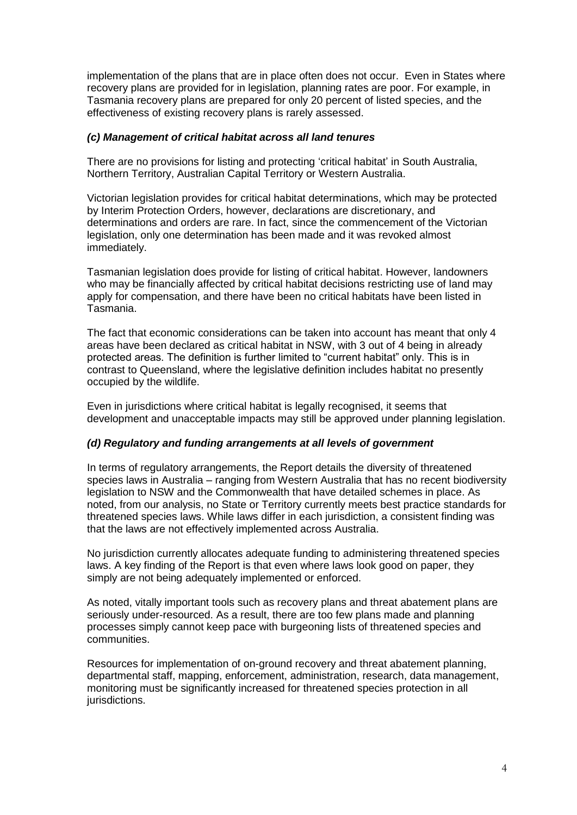implementation of the plans that are in place often does not occur. Even in States where recovery plans are provided for in legislation, planning rates are poor. For example, in Tasmania recovery plans are prepared for only 20 percent of listed species, and the effectiveness of existing recovery plans is rarely assessed.

#### *(c) Management of critical habitat across all land tenures*

There are no provisions for listing and protecting 'critical habitat' in South Australia, Northern Territory, Australian Capital Territory or Western Australia.

Victorian legislation provides for critical habitat determinations, which may be protected by Interim Protection Orders, however, declarations are discretionary, and determinations and orders are rare. In fact, since the commencement of the Victorian legislation, only one determination has been made and it was revoked almost immediately.

Tasmanian legislation does provide for listing of critical habitat. However, landowners who may be financially affected by critical habitat decisions restricting use of land may apply for compensation, and there have been no critical habitats have been listed in Tasmania.

The fact that economic considerations can be taken into account has meant that only 4 areas have been declared as critical habitat in NSW, with 3 out of 4 being in already protected areas. The definition is further limited to "current habitat" only. This is in contrast to Queensland, where the legislative definition includes habitat no presently occupied by the wildlife.

Even in jurisdictions where critical habitat is legally recognised, it seems that development and unacceptable impacts may still be approved under planning legislation.

### *(d) Regulatory and funding arrangements at all levels of government*

In terms of regulatory arrangements, the Report details the diversity of threatened species laws in Australia – ranging from Western Australia that has no recent biodiversity legislation to NSW and the Commonwealth that have detailed schemes in place. As noted, from our analysis, no State or Territory currently meets best practice standards for threatened species laws. While laws differ in each jurisdiction, a consistent finding was that the laws are not effectively implemented across Australia.

No jurisdiction currently allocates adequate funding to administering threatened species laws. A key finding of the Report is that even where laws look good on paper, they simply are not being adequately implemented or enforced.

As noted, vitally important tools such as recovery plans and threat abatement plans are seriously under-resourced. As a result, there are too few plans made and planning processes simply cannot keep pace with burgeoning lists of threatened species and communities.

Resources for implementation of on-ground recovery and threat abatement planning, departmental staff, mapping, enforcement, administration, research, data management, monitoring must be significantly increased for threatened species protection in all jurisdictions.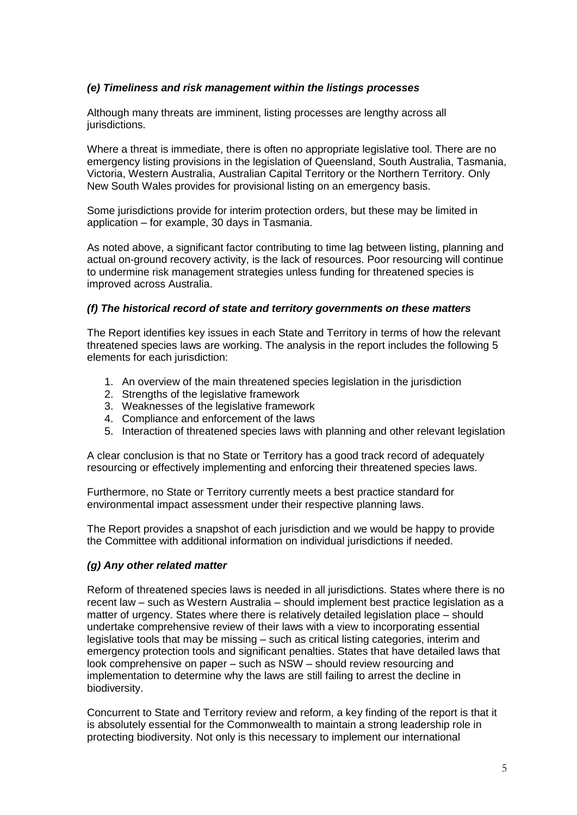### *(e) Timeliness and risk management within the listings processes*

Although many threats are imminent, listing processes are lengthy across all jurisdictions.

Where a threat is immediate, there is often no appropriate legislative tool. There are no emergency listing provisions in the legislation of Queensland, South Australia, Tasmania, Victoria, Western Australia, Australian Capital Territory or the Northern Territory. Only New South Wales provides for provisional listing on an emergency basis.

Some jurisdictions provide for interim protection orders, but these may be limited in application – for example, 30 days in Tasmania.

As noted above, a significant factor contributing to time lag between listing, planning and actual on-ground recovery activity, is the lack of resources. Poor resourcing will continue to undermine risk management strategies unless funding for threatened species is improved across Australia.

#### *(f) The historical record of state and territory governments on these matters*

The Report identifies key issues in each State and Territory in terms of how the relevant threatened species laws are working. The analysis in the report includes the following 5 elements for each jurisdiction:

- 1. An overview of the main threatened species legislation in the jurisdiction
- 2. Strengths of the legislative framework
- 3. Weaknesses of the legislative framework
- 4. Compliance and enforcement of the laws
- 5. Interaction of threatened species laws with planning and other relevant legislation

A clear conclusion is that no State or Territory has a good track record of adequately resourcing or effectively implementing and enforcing their threatened species laws.

Furthermore, no State or Territory currently meets a best practice standard for environmental impact assessment under their respective planning laws.

The Report provides a snapshot of each jurisdiction and we would be happy to provide the Committee with additional information on individual jurisdictions if needed.

#### *(g) Any other related matter*

Reform of threatened species laws is needed in all jurisdictions. States where there is no recent law – such as Western Australia – should implement best practice legislation as a matter of urgency. States where there is relatively detailed legislation place – should undertake comprehensive review of their laws with a view to incorporating essential legislative tools that may be missing – such as critical listing categories, interim and emergency protection tools and significant penalties. States that have detailed laws that look comprehensive on paper – such as NSW – should review resourcing and implementation to determine why the laws are still failing to arrest the decline in biodiversity.

Concurrent to State and Territory review and reform, a key finding of the report is that it is absolutely essential for the Commonwealth to maintain a strong leadership role in protecting biodiversity. Not only is this necessary to implement our international